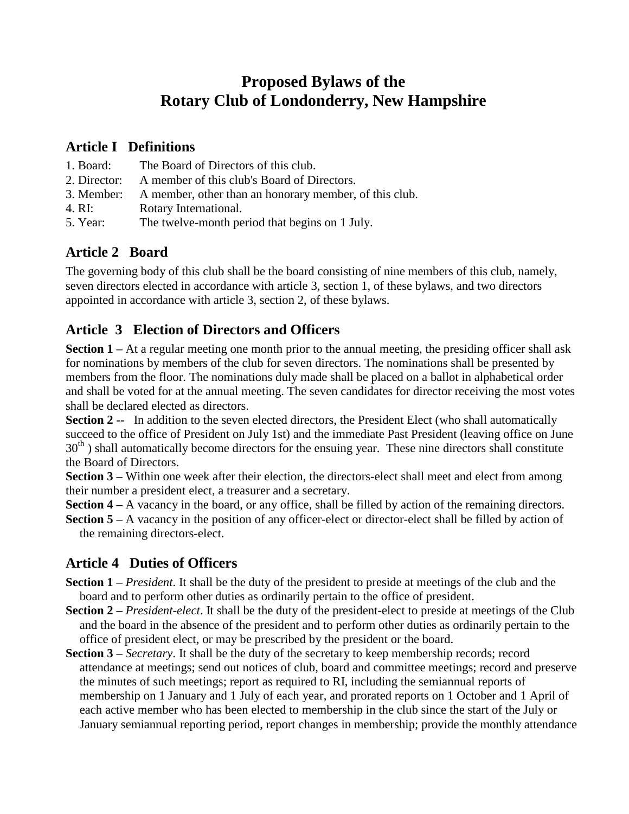# **Proposed Bylaws of the Rotary Club of Londonderry, New Hampshire**

### **Article I Definitions**

- 1. Board: The Board of Directors of this club.
- 2. Director: A member of this club's Board of Directors.
- 3. Member: A member, other than an honorary member, of this club.
- 4. RI: Rotary International.
- 5. Year: The twelve-month period that begins on 1 July.

# **Article 2 Board**

The governing body of this club shall be the board consisting of nine members of this club, namely, seven directors elected in accordance with article 3, section 1, of these bylaws, and two directors appointed in accordance with article 3, section 2, of these bylaws.

# **Article 3 Election of Directors and Officers**

**Section 1** – At a regular meeting one month prior to the annual meeting, the presiding officer shall ask for nominations by members of the club for seven directors. The nominations shall be presented by members from the floor. The nominations duly made shall be placed on a ballot in alphabetical order and shall be voted for at the annual meeting. The seven candidates for director receiving the most votes shall be declared elected as directors.

**Section 2 --** In addition to the seven elected directors, the President Elect (who shall automatically succeed to the office of President on July 1st) and the immediate Past President (leaving office on June  $30<sup>th</sup>$ ) shall automatically become directors for the ensuing year. These nine directors shall constitute the Board of Directors.

**Section 3 – Within one week after their election, the directors-elect shall meet and elect from among** their number a president elect, a treasurer and a secretary.

**Section 4 – A** vacancy in the board, or any office, shall be filled by action of the remaining directors.

**Section 5 –**A vacancy in the position of any officer-elect or director-elect shall be filled by action of the remaining directors-elect.

### **Article 4 Duties of Officers**

- **Section 1 –***President*. It shall be the duty of the president to preside at meetings of the club and the board and to perform other duties as ordinarily pertain to the office of president.
- **Section 2 –***President-elect*. It shall be the duty of the president-elect to preside at meetings of the Club and the board in the absence of the president and to perform other duties as ordinarily pertain to the office of president elect, or may be prescribed by the president or the board.
- **Section 3 –***Secretary*. It shall be the duty of the secretary to keep membership records; record attendance at meetings; send out notices of club, board and committee meetings; record and preserve the minutes of such meetings; report as required to RI, including the semiannual reports of membership on 1 January and 1 July of each year, and prorated reports on 1 October and 1 April of each active member who has been elected to membership in the club since the start of the July or January semiannual reporting period, report changes in membership; provide the monthly attendance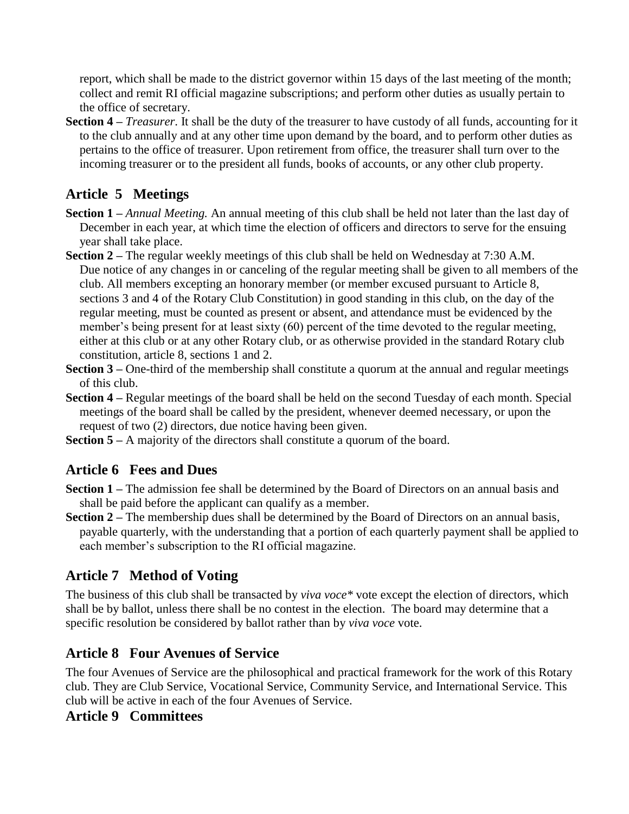report, which shall be made to the district governor within 15 days of the last meeting of the month; collect and remit RI official magazine subscriptions; and perform other duties as usually pertain to the office of secretary.

**Section 4 –***Treasurer*. It shall be the duty of the treasurer to have custody of all funds, accounting for it to the club annually and at any other time upon demand by the board, and to perform other duties as pertains to the office of treasurer. Upon retirement from office, the treasurer shall turn over to the incoming treasurer or to the president all funds, books of accounts, or any other club property.

# **Article 5 Meetings**

- **Section 1 –***Annual Meeting.* An annual meeting of this club shall be held not later than the last day of December in each year, at which time the election of officers and directors to serve for the ensuing year shall take place.
- **Section 2** The regular weekly meetings of this club shall be held on Wednesday at 7:30 A.M. Due notice of any changes in or canceling of the regular meeting shall be given to all members of the club. All members excepting an honorary member (or member excused pursuant to Article 8, sections 3 and 4 of the Rotary Club Constitution) in good standing in this club, on the day of the regular meeting, must be counted as present or absent, and attendance must be evidenced by the member's being present for at least sixty (60) percent of the time devoted to the regular meeting, either at this club or at any other Rotary club, or as otherwise provided in the standard Rotary club constitution, article 8, sections 1 and 2.
- **Section 3** One-third of the membership shall constitute a quorum at the annual and regular meetings of this club.
- **Section 4 –**Regular meetings of the board shall be held on the second Tuesday of each month. Special meetings of the board shall be called by the president, whenever deemed necessary, or upon the request of two (2) directors, due notice having been given.
- **Section 5 –**A majority of the directors shall constitute a quorum of the board.

### **Article 6 Fees and Dues**

- **Section 1 –**The admission fee shall be determined by the Board of Directors on an annual basis and shall be paid before the applicant can qualify as a member.
- **Section 2** The membership dues shall be determined by the Board of Directors on an annual basis, payable quarterly, with the understanding that a portion of each quarterly payment shall be applied to each member's subscription to the RI official magazine.

### **Article 7 Method of Voting**

The business of this club shall be transacted by *viva voce\** vote except the election of directors, which shall be by ballot, unless there shall be no contest in the election. The board may determine that a specific resolution be considered by ballot rather than by *viva voce* vote.

### **Article 8 Four Avenues of Service**

The four Avenues of Service are the philosophical and practical framework for the work of this Rotary club. They are Club Service, Vocational Service, Community Service, and International Service. This club will be active in each of the four Avenues of Service.

#### **Article 9 Committees**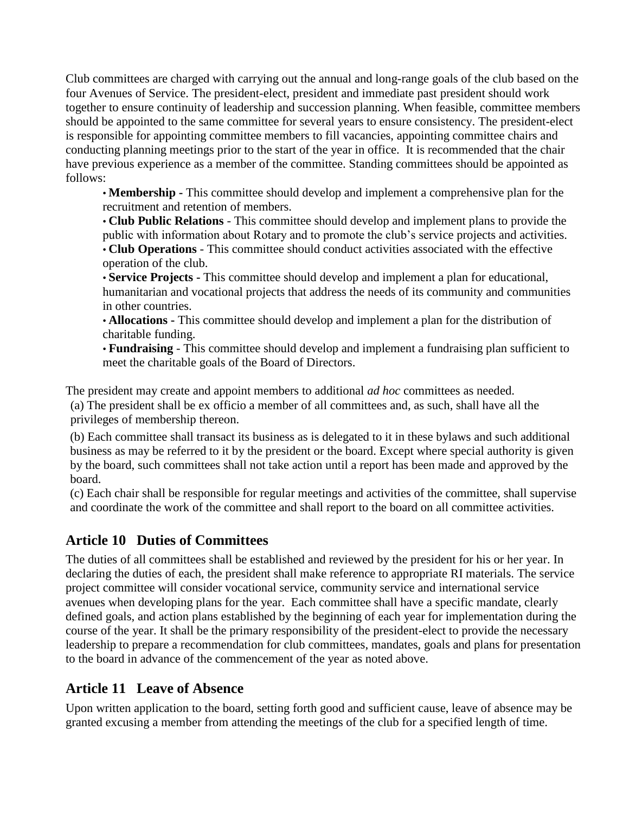Club committees are charged with carrying out the annual and long-range goals of the club based on the four Avenues of Service. The president-elect, president and immediate past president should work together to ensure continuity of leadership and succession planning. When feasible, committee members should be appointed to the same committee for several years to ensure consistency. The president-elect is responsible for appointing committee members to fill vacancies, appointing committee chairs and conducting planning meetings prior to the start of the year in office. It is recommended that the chair have previous experience as a member of the committee. Standing committees should be appointed as follows:

•**Membership -** This committee should develop and implement a comprehensive plan for the recruitment and retention of members.

•**Club Public Relations** - This committee should develop and implement plans to provide the public with information about Rotary and to promote the club's service projects and activities. •**Club Operations** - This committee should conduct activities associated with the effective

operation of the club.

•**Service Projects -** This committee should develop and implement a plan for educational, humanitarian and vocational projects that address the needs of its community and communities in other countries.

•**Allocations -** This committee should develop and implement a plan for the distribution of charitable funding.

•**Fundraising** - This committee should develop and implement a fundraising plan sufficient to meet the charitable goals of the Board of Directors.

The president may create and appoint members to additional *ad hoc* committees as needed.

(a) The president shall be ex officio a member of all committees and, as such, shall have all the privileges of membership thereon.

(b) Each committee shall transact its business as is delegated to it in these bylaws and such additional business as may be referred to it by the president or the board. Except where special authority is given by the board, such committees shall not take action until a report has been made and approved by the board.

(c) Each chair shall be responsible for regular meetings and activities of the committee, shall supervise and coordinate the work of the committee and shall report to the board on all committee activities.

### **Article 10 Duties of Committees**

The duties of all committees shall be established and reviewed by the president for his or her year. In declaring the duties of each, the president shall make reference to appropriate RI materials. The service project committee will consider vocational service, community service and international service avenues when developing plans for the year. Each committee shall have a specific mandate, clearly defined goals, and action plans established by the beginning of each year for implementation during the course of the year. It shall be the primary responsibility of the president-elect to provide the necessary leadership to prepare a recommendation for club committees, mandates, goals and plans for presentation to the board in advance of the commencement of the year as noted above.

# **Article 11 Leave of Absence**

Upon written application to the board, setting forth good and sufficient cause, leave of absence may be granted excusing a member from attending the meetings of the club for a specified length of time.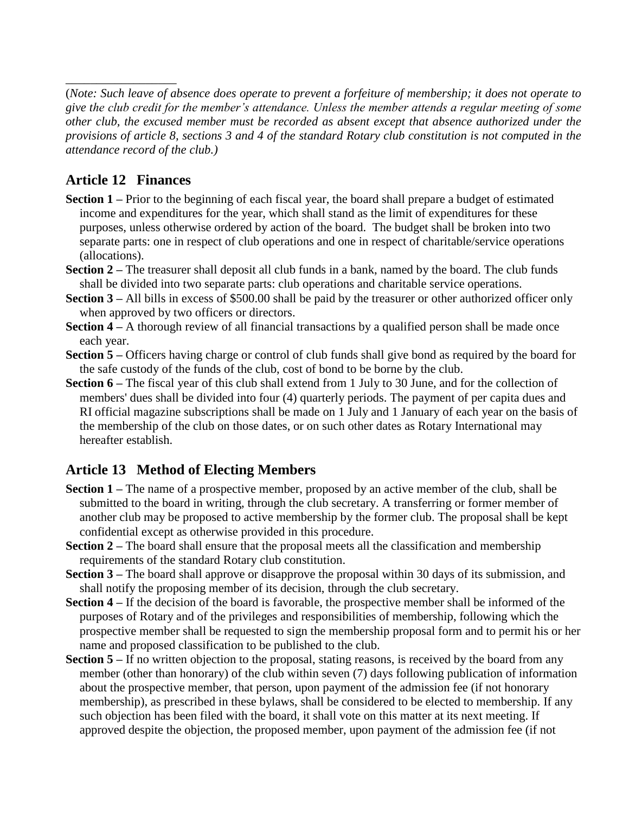(*Note: Such leave of absence does operate to prevent a forfeiture of membership; it does not operate to give theclubcreditforthemember'sattendance.Unlessthememberattendsaregularmeetingofsome other club, the excused member must be recorded as absent except that absence authorized under the provisions of article 8, sections 3 and 4 of the standard Rotary club constitution is not computed in the attendance record of the club.)*

### **Article 12 Finances**

\_\_\_\_\_\_\_\_\_\_\_\_\_\_\_\_\_\_

- **Section 1** Prior to the beginning of each fiscal year, the board shall prepare a budget of estimated income and expenditures for the year, which shall stand as the limit of expenditures for these purposes, unless otherwise ordered by action of the board. The budget shall be broken into two separate parts: one in respect of club operations and one in respect of charitable/service operations (allocations).
- **Section 2** The treasurer shall deposit all club funds in a bank, named by the board. The club funds shall be divided into two separate parts: club operations and charitable service operations.
- **Section 3 All bills in excess of \$500.00 shall be paid by the treasurer or other authorized officer only** when approved by two officers or directors.
- **Section 4** A thorough review of all financial transactions by a qualified person shall be made once each year.
- **Section 5** Officers having charge or control of club funds shall give bond as required by the board for the safe custody of the funds of the club, cost of bond to be borne by the club.
- **Section 6** The fiscal year of this club shall extend from 1 July to 30 June, and for the collection of members' dues shall be divided into four (4) quarterly periods. The payment of per capita dues and RI official magazine subscriptions shall be made on 1 July and 1 January of each year on the basis of the membership of the club on those dates, or on such other dates as Rotary International may hereafter establish.

### **Article 13 Method of Electing Members**

- **Section 1** The name of a prospective member, proposed by an active member of the club, shall be submitted to the board in writing, through the club secretary. A transferring or former member of another club may be proposed to active membership by the former club. The proposal shall be kept confidential except as otherwise provided in this procedure.
- **Section 2** The board shall ensure that the proposal meets all the classification and membership requirements of the standard Rotary club constitution.
- **Section 3** The board shall approve or disapprove the proposal within 30 days of its submission, and shall notify the proposing member of its decision, through the club secretary.
- **Section 4** If the decision of the board is favorable, the prospective member shall be informed of the purposes of Rotary and of the privileges and responsibilities of membership, following which the prospective member shall be requested to sign the membership proposal form and to permit his or her name and proposed classification to be published to the club.
- **Section 5** If no written objection to the proposal, stating reasons, is received by the board from any member (other than honorary) of the club within seven (7) days following publication of information about the prospective member, that person, upon payment of the admission fee (if not honorary membership), as prescribed in these bylaws, shall be considered to be elected to membership. If any such objection has been filed with the board, it shall vote on this matter at its next meeting. If approved despite the objection, the proposed member, upon payment of the admission fee (if not